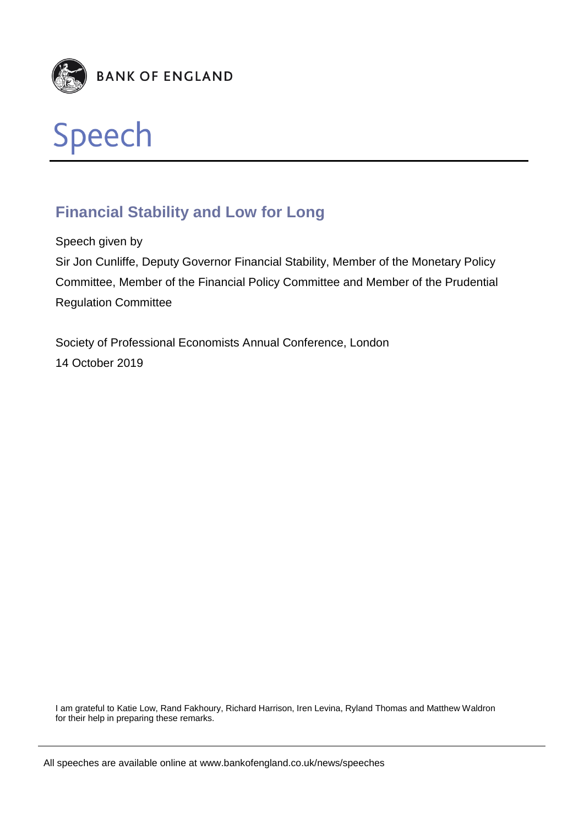



# **Financial Stability and Low for Long**

Speech given by

Sir Jon Cunliffe, Deputy Governor Financial Stability, Member of the Monetary Policy Committee, Member of the Financial Policy Committee and Member of the Prudential Regulation Committee

Society of Professional Economists Annual Conference, London 14 October 2019

I am grateful to Katie Low, Rand Fakhoury, Richard Harrison, Iren Levina, Ryland Thomas and Matthew Waldron for their help in preparing these remarks.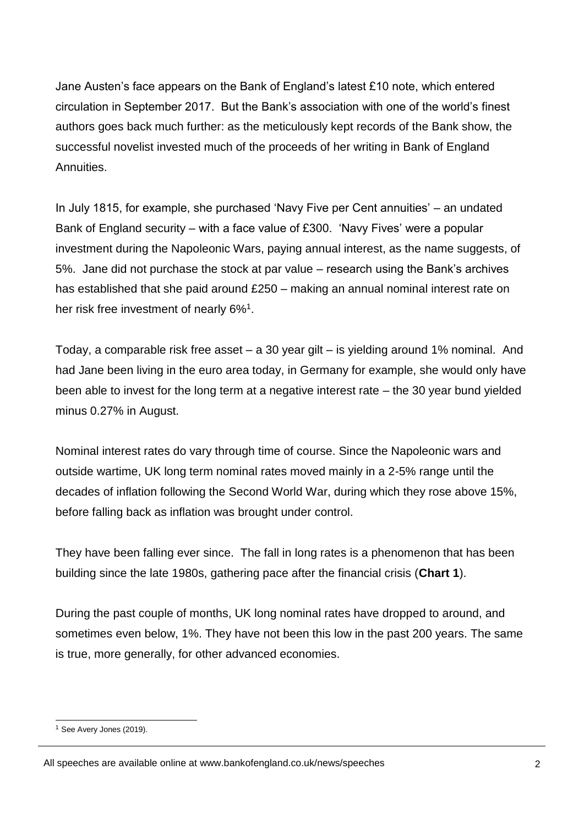Jane Austen's face appears on the Bank of England's latest £10 note, which entered circulation in September 2017. But the Bank's association with one of the world's finest authors goes back much further: as the meticulously kept records of the Bank show, the successful novelist invested much of the proceeds of her writing in Bank of England Annuities.

In July 1815, for example, she purchased 'Navy Five per Cent annuities' – an undated Bank of England security – with a face value of £300. 'Navy Fives' were a popular investment during the Napoleonic Wars, paying annual interest, as the name suggests, of 5%. Jane did not purchase the stock at par value – research using the Bank's archives has established that she paid around £250 – making an annual nominal interest rate on her risk free investment of nearly 6%<sup>1</sup>.

Today, a comparable risk free asset – a 30 year gilt – is yielding around 1% nominal. And had Jane been living in the euro area today, in Germany for example, she would only have been able to invest for the long term at a negative interest rate – the 30 year bund yielded minus 0.27% in August.

Nominal interest rates do vary through time of course. Since the Napoleonic wars and outside wartime, UK long term nominal rates moved mainly in a 2-5% range until the decades of inflation following the Second World War, during which they rose above 15%, before falling back as inflation was brought under control.

They have been falling ever since. The fall in long rates is a phenomenon that has been building since the late 1980s, gathering pace after the financial crisis (**Chart 1**).

During the past couple of months, UK long nominal rates have dropped to around, and sometimes even below, 1%. They have not been this low in the past 200 years. The same is true, more generally, for other advanced economies.

<sup>&</sup>lt;sup>1</sup> See Avery Jones (2019).

All speeches are available online at www.bankofengland.co.uk/news/speeches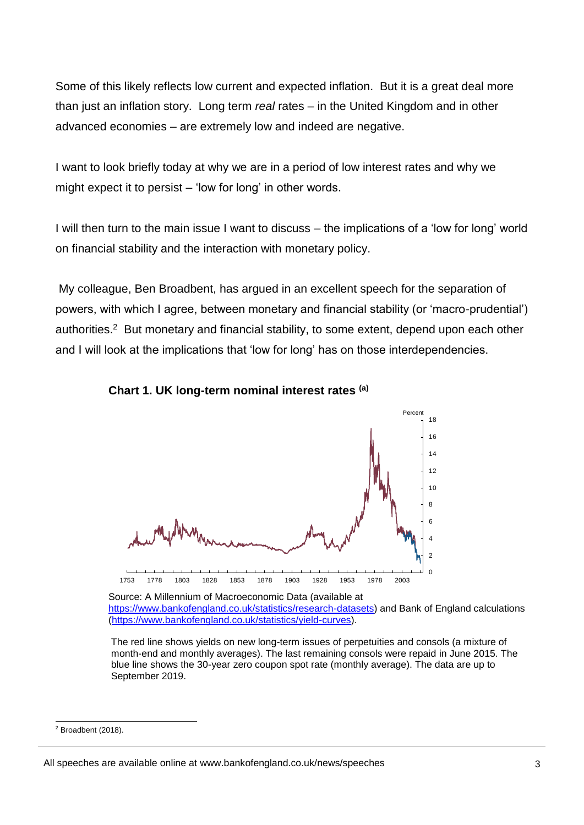Some of this likely reflects low current and expected inflation. But it is a great deal more than just an inflation story. Long term *real* rates – in the United Kingdom and in other advanced economies – are extremely low and indeed are negative.

I want to look briefly today at why we are in a period of low interest rates and why we might expect it to persist – 'low for long' in other words.

I will then turn to the main issue I want to discuss – the implications of a 'low for long' world on financial stability and the interaction with monetary policy.

My colleague, Ben Broadbent, has argued in an excellent speech for the separation of powers, with which I agree, between monetary and financial stability (or 'macro-prudential') authorities.<sup>2</sup> But monetary and financial stability, to some extent, depend upon each other and I will look at the implications that 'low for long' has on those interdependencies.





Source: A Millennium of Macroeconomic Data (available at [https://www.bankofengland.co.uk/statistics/research-datasets\)](https://www.bankofengland.co.uk/statistics/research-datasets) and Bank of England calculations [\(https://www.bankofengland.co.uk/statistics/yield-curves\)](https://www.bankofengland.co.uk/statistics/yield-curves).

The red line shows yields on new long-term issues of perpetuities and consols (a mixture of month-end and monthly averages). The last remaining consols were repaid in June 2015. The blue line shows the 30-year zero coupon spot rate (monthly average). The data are up to September 2019.

<sup>1</sup>  $2$  Broadbent (2018).

All speeches are available online at www.bankofengland.co.uk/news/speeches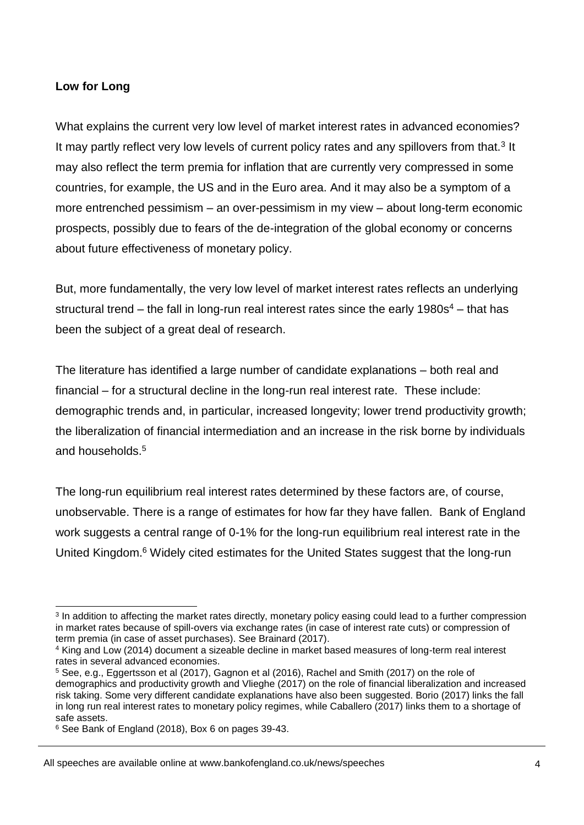## **Low for Long**

What explains the current very low level of market interest rates in advanced economies? It may partly reflect very low levels of current policy rates and any spillovers from that.<sup>3</sup> It may also reflect the term premia for inflation that are currently very compressed in some countries, for example, the US and in the Euro area. And it may also be a symptom of a more entrenched pessimism – an over-pessimism in my view – about long-term economic prospects, possibly due to fears of the de-integration of the global economy or concerns about future effectiveness of monetary policy.

But, more fundamentally, the very low level of market interest rates reflects an underlying structural trend – the fall in long-run real interest rates since the early  $1980s<sup>4</sup>$  – that has been the subject of a great deal of research.

The literature has identified a large number of candidate explanations – both real and financial – for a structural decline in the long-run real interest rate. These include: demographic trends and, in particular, increased longevity; lower trend productivity growth; the liberalization of financial intermediation and an increase in the risk borne by individuals and households.<sup>5</sup>

The long-run equilibrium real interest rates determined by these factors are, of course, unobservable. There is a range of estimates for how far they have fallen. Bank of England work suggests a central range of 0-1% for the long-run equilibrium real interest rate in the United Kingdom.<sup>6</sup> Widely cited estimates for the United States suggest that the long-run

<sup>1</sup> <sup>3</sup> In addition to affecting the market rates directly, monetary policy easing could lead to a further compression in market rates because of spill-overs via exchange rates (in case of interest rate cuts) or compression of term premia (in case of asset purchases). See Brainard (2017).

<sup>4</sup> King and Low (2014) document a sizeable decline in market based measures of long-term real interest rates in several advanced economies.

<sup>5</sup> See, e.g., Eggertsson et al (2017), Gagnon et al (2016), Rachel and Smith (2017) on the role of demographics and productivity growth and Vlieghe (2017) on the role of financial liberalization and increased risk taking. Some very different candidate explanations have also been suggested. Borio (2017) links the fall in long run real interest rates to monetary policy regimes, while Caballero (2017) links them to a shortage of safe assets.

<sup>6</sup> See Bank of England (2018), Box 6 on pages 39-43.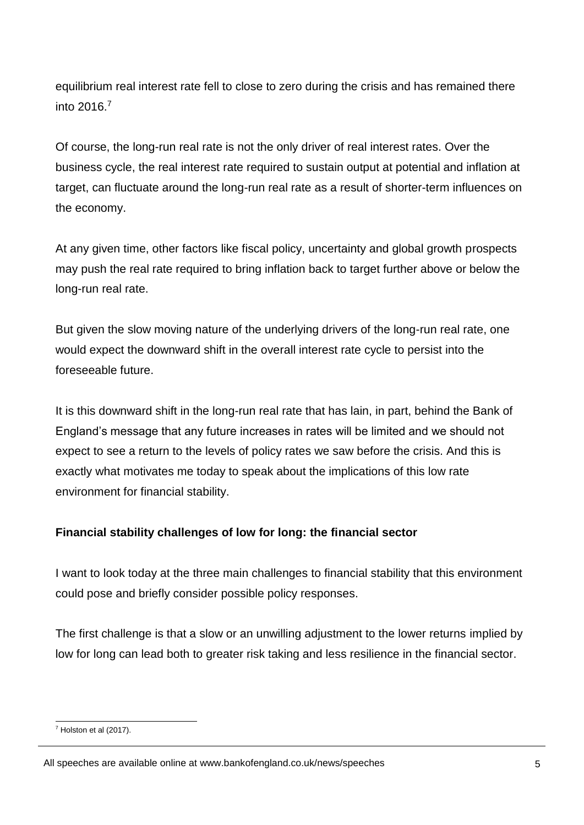equilibrium real interest rate fell to close to zero during the crisis and has remained there into 2016<sup>7</sup>

Of course, the long-run real rate is not the only driver of real interest rates. Over the business cycle, the real interest rate required to sustain output at potential and inflation at target, can fluctuate around the long-run real rate as a result of shorter-term influences on the economy.

At any given time, other factors like fiscal policy, uncertainty and global growth prospects may push the real rate required to bring inflation back to target further above or below the long-run real rate.

But given the slow moving nature of the underlying drivers of the long-run real rate, one would expect the downward shift in the overall interest rate cycle to persist into the foreseeable future.

It is this downward shift in the long-run real rate that has lain, in part, behind the Bank of England's message that any future increases in rates will be limited and we should not expect to see a return to the levels of policy rates we saw before the crisis. And this is exactly what motivates me today to speak about the implications of this low rate environment for financial stability.

## **Financial stability challenges of low for long: the financial sector**

I want to look today at the three main challenges to financial stability that this environment could pose and briefly consider possible policy responses.

The first challenge is that a slow or an unwilling adjustment to the lower returns implied by low for long can lead both to greater risk taking and less resilience in the financial sector.

<sup>1</sup>  $7$  Holston et al (2017).

All speeches are available online at www.bankofengland.co.uk/news/speeches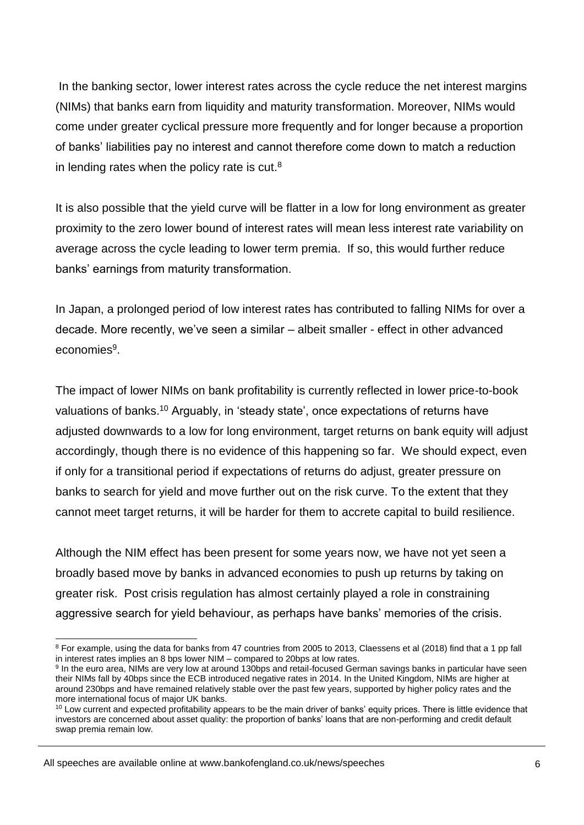In the banking sector, lower interest rates across the cycle reduce the net interest margins (NIMs) that banks earn from liquidity and maturity transformation. Moreover, NIMs would come under greater cyclical pressure more frequently and for longer because a proportion of banks' liabilities pay no interest and cannot therefore come down to match a reduction in lending rates when the policy rate is cut. $8$ 

It is also possible that the yield curve will be flatter in a low for long environment as greater proximity to the zero lower bound of interest rates will mean less interest rate variability on average across the cycle leading to lower term premia. If so, this would further reduce banks' earnings from maturity transformation.

In Japan, a prolonged period of low interest rates has contributed to falling NIMs for over a decade. More recently, we've seen a similar – albeit smaller - effect in other advanced economies<sup>9</sup>.

The impact of lower NIMs on bank profitability is currently reflected in lower price-to-book valuations of banks.<sup>10</sup> Arguably, in 'steady state', once expectations of returns have adjusted downwards to a low for long environment, target returns on bank equity will adjust accordingly, though there is no evidence of this happening so far. We should expect, even if only for a transitional period if expectations of returns do adjust, greater pressure on banks to search for yield and move further out on the risk curve. To the extent that they cannot meet target returns, it will be harder for them to accrete capital to build resilience.

Although the NIM effect has been present for some years now, we have not yet seen a broadly based move by banks in advanced economies to push up returns by taking on greater risk. Post crisis regulation has almost certainly played a role in constraining aggressive search for yield behaviour, as perhaps have banks' memories of the crisis.

<sup>1</sup> <sup>8</sup> For example, using the data for banks from 47 countries from 2005 to 2013, Claessens et al (2018) find that a 1 pp fall in interest rates implies an 8 bps lower NIM – compared to 20bps at low rates.

<sup>&</sup>lt;sup>9</sup> In the euro area, NIMs are very low at around 130bps and retail-focused German savings banks in particular have seen their NIMs fall by 40bps since the ECB introduced negative rates in 2014. In the United Kingdom, NIMs are higher at around 230bps and have remained relatively stable over the past few years, supported by higher policy rates and the more international focus of major UK banks.

<sup>&</sup>lt;sup>10</sup> Low current and expected profitability appears to be the main driver of banks' equity prices. There is little evidence that investors are concerned about asset quality: the proportion of banks' loans that are non-performing and credit default swap premia remain low.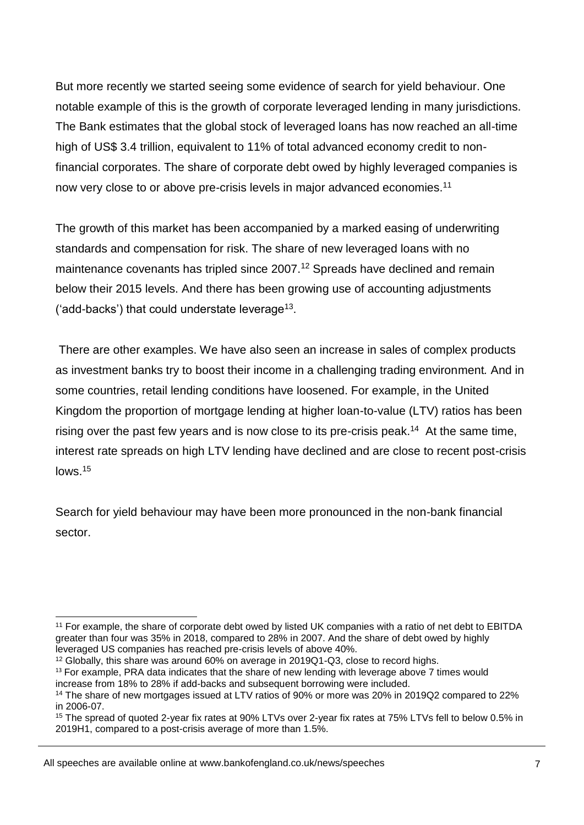But more recently we started seeing some evidence of search for yield behaviour. One notable example of this is the growth of corporate leveraged lending in many jurisdictions. The Bank estimates that the global stock of leveraged loans has now reached an all-time high of US\$ 3.4 trillion, equivalent to 11% of total advanced economy credit to nonfinancial corporates. The share of corporate debt owed by highly leveraged companies is now very close to or above pre-crisis levels in major advanced economies.<sup>11</sup>

The growth of this market has been accompanied by a marked easing of underwriting standards and compensation for risk. The share of new leveraged loans with no maintenance covenants has tripled since 2007.<sup>12</sup> Spreads have declined and remain below their 2015 levels. And there has been growing use of accounting adjustments ('add-backs') that could understate leverage<sup>13</sup>.

There are other examples. We have also seen an increase in sales of complex products as investment banks try to boost their income in a challenging trading environment*.* And in some countries, retail lending conditions have loosened. For example, in the United Kingdom the proportion of mortgage lending at higher loan-to-value (LTV) ratios has been rising over the past few years and is now close to its pre-crisis peak.<sup>14</sup> At the same time, interest rate spreads on high LTV lending have declined and are close to recent post-crisis lows.<sup>15</sup>

Search for yield behaviour may have been more pronounced in the non-bank financial sector.

All speeches are available online at www.bankofengland.co.uk/news/speeches

<sup>&</sup>lt;sup>11</sup> For example, the share of corporate debt owed by listed UK companies with a ratio of net debt to EBITDA greater than four was 35% in 2018, compared to 28% in 2007. And the share of debt owed by highly leveraged US companies has reached pre-crisis levels of above 40%.

<sup>&</sup>lt;sup>12</sup> Globally, this share was around 60% on average in 2019Q1-Q3, close to record highs.

<sup>&</sup>lt;sup>13</sup> For example, PRA data indicates that the share of new lending with leverage above 7 times would increase from 18% to 28% if add-backs and subsequent borrowing were included.

<sup>14</sup> The share of new mortgages issued at LTV ratios of 90% or more was 20% in 2019Q2 compared to 22% in 2006-07.

<sup>15</sup> The spread of quoted 2-year fix rates at 90% LTVs over 2-year fix rates at 75% LTVs fell to below 0.5% in 2019H1, compared to a post-crisis average of more than 1.5%.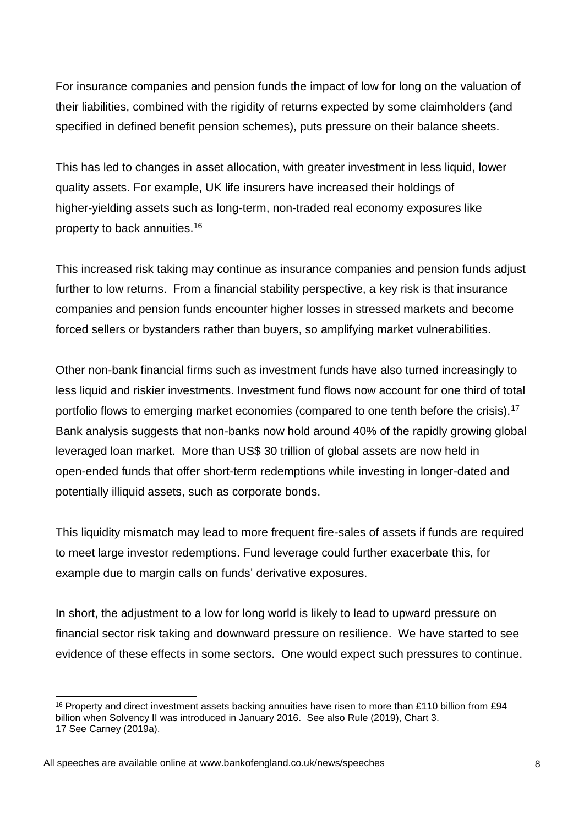For insurance companies and pension funds the impact of low for long on the valuation of their liabilities, combined with the rigidity of returns expected by some claimholders (and specified in defined benefit pension schemes), puts pressure on their balance sheets.

This has led to changes in asset allocation, with greater investment in less liquid, lower quality assets. For example, UK life insurers have increased their holdings of higher-yielding assets such as long-term, non-traded real economy exposures like property to back annuities.<sup>16</sup>

This increased risk taking may continue as insurance companies and pension funds adjust further to low returns. From a financial stability perspective, a key risk is that insurance companies and pension funds encounter higher losses in stressed markets and become forced sellers or bystanders rather than buyers, so amplifying market vulnerabilities.

Other non-bank financial firms such as investment funds have also turned increasingly to less liquid and riskier investments. Investment fund flows now account for one third of total portfolio flows to emerging market economies (compared to one tenth before the crisis).<sup>17</sup> Bank analysis suggests that non-banks now hold around 40% of the rapidly growing global leveraged loan market. More than US\$ 30 trillion of global assets are now held in open-ended funds that offer short-term redemptions while investing in longer-dated and potentially illiquid assets, such as corporate bonds.

This liquidity mismatch may lead to more frequent fire-sales of assets if funds are required to meet large investor redemptions. Fund leverage could further exacerbate this, for example due to margin calls on funds' derivative exposures.

In short, the adjustment to a low for long world is likely to lead to upward pressure on financial sector risk taking and downward pressure on resilience. We have started to see evidence of these effects in some sectors. One would expect such pressures to continue.

-

<sup>16</sup> Property and direct investment assets backing annuities have risen to more than £110 billion from £94 billion when Solvency II was introduced in January 2016. See also Rule (2019), Chart 3. 17 See Carney (2019a).

All speeches are available online at www.bankofengland.co.uk/news/speeches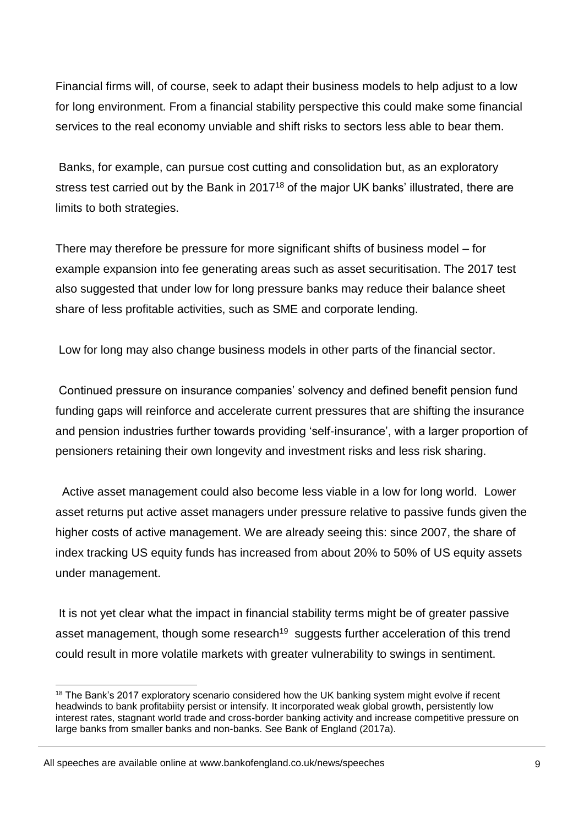Financial firms will, of course, seek to adapt their business models to help adjust to a low for long environment. From a financial stability perspective this could make some financial services to the real economy unviable and shift risks to sectors less able to bear them.

Banks, for example, can pursue cost cutting and consolidation but, as an exploratory stress test carried out by the Bank in 2017<sup>18</sup> of the major UK banks' illustrated, there are limits to both strategies.

There may therefore be pressure for more significant shifts of business model – for example expansion into fee generating areas such as asset securitisation. The 2017 test also suggested that under low for long pressure banks may reduce their balance sheet share of less profitable activities, such as SME and corporate lending.

Low for long may also change business models in other parts of the financial sector.

Continued pressure on insurance companies' solvency and defined benefit pension fund funding gaps will reinforce and accelerate current pressures that are shifting the insurance and pension industries further towards providing 'self-insurance', with a larger proportion of pensioners retaining their own longevity and investment risks and less risk sharing.

 Active asset management could also become less viable in a low for long world. Lower asset returns put active asset managers under pressure relative to passive funds given the higher costs of active management. We are already seeing this: since 2007, the share of index tracking US equity funds has increased from about 20% to 50% of US equity assets under management.

It is not yet clear what the impact in financial stability terms might be of greater passive asset management, though some research<sup>19</sup> suggests further acceleration of this trend could result in more volatile markets with greater vulnerability to swings in sentiment.

<sup>1</sup> <sup>18</sup> The Bank's 2017 exploratory scenario considered how the UK banking system might evolve if recent headwinds to bank profitabiity persist or intensify. It incorporated weak global growth, persistently low interest rates, stagnant world trade and cross-border banking activity and increase competitive pressure on large banks from smaller banks and non-banks. See Bank of England (2017a).

All speeches are available online at www.bankofengland.co.uk/news/speeches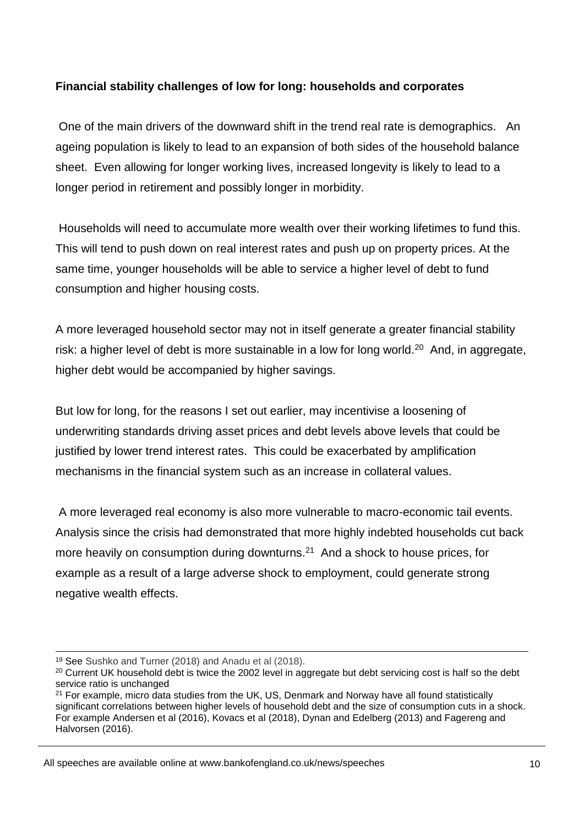# **Financial stability challenges of low for long: households and corporates**

One of the main drivers of the downward shift in the trend real rate is demographics. An ageing population is likely to lead to an expansion of both sides of the household balance sheet. Even allowing for longer working lives, increased longevity is likely to lead to a longer period in retirement and possibly longer in morbidity.

Households will need to accumulate more wealth over their working lifetimes to fund this. This will tend to push down on real interest rates and push up on property prices. At the same time, younger households will be able to service a higher level of debt to fund consumption and higher housing costs.

A more leveraged household sector may not in itself generate a greater financial stability risk: a higher level of debt is more sustainable in a low for long world.<sup>20</sup> And, in aggregate, higher debt would be accompanied by higher savings.

But low for long, for the reasons I set out earlier, may incentivise a loosening of underwriting standards driving asset prices and debt levels above levels that could be justified by lower trend interest rates. This could be exacerbated by amplification mechanisms in the financial system such as an increase in collateral values.

A more leveraged real economy is also more vulnerable to macro-economic tail events. Analysis since the crisis had demonstrated that more highly indebted households cut back more heavily on consumption during downturns.<sup>21</sup> And a shock to house prices, for example as a result of a large adverse shock to employment, could generate strong negative wealth effects.

1

<sup>19</sup> See Sushko and Turner (2018) and Anadu et al (2018).

<sup>&</sup>lt;sup>20</sup> Current UK household debt is twice the 2002 level in aggregate but debt servicing cost is half so the debt service ratio is unchanged

 $21$  For example, micro data studies from the UK, US, Denmark and Norway have all found statistically significant correlations between higher levels of household debt and the size of consumption cuts in a shock. For example Andersen et al (2016), Kovacs et al (2018), Dynan and Edelberg (2013) and Fagereng and Halvorsen (2016).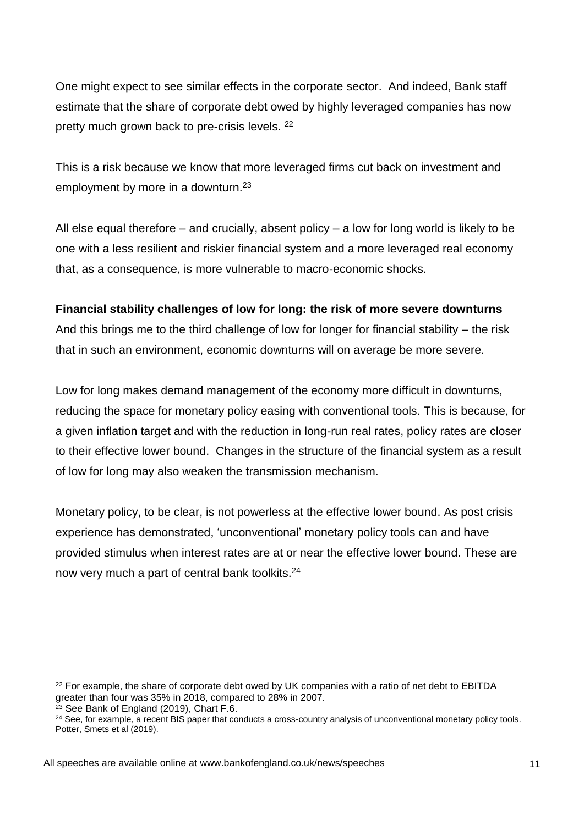One might expect to see similar effects in the corporate sector. And indeed, Bank staff estimate that the share of corporate debt owed by highly leveraged companies has now pretty much grown back to pre-crisis levels. <sup>22</sup>

This is a risk because we know that more leveraged firms cut back on investment and employment by more in a downturn.<sup>23</sup>

All else equal therefore – and crucially, absent policy – a low for long world is likely to be one with a less resilient and riskier financial system and a more leveraged real economy that, as a consequence, is more vulnerable to macro-economic shocks.

## **Financial stability challenges of low for long: the risk of more severe downturns**

And this brings me to the third challenge of low for longer for financial stability – the risk that in such an environment, economic downturns will on average be more severe.

Low for long makes demand management of the economy more difficult in downturns, reducing the space for monetary policy easing with conventional tools. This is because, for a given inflation target and with the reduction in long-run real rates, policy rates are closer to their effective lower bound. Changes in the structure of the financial system as a result of low for long may also weaken the transmission mechanism.

Monetary policy, to be clear, is not powerless at the effective lower bound. As post crisis experience has demonstrated, 'unconventional' monetary policy tools can and have provided stimulus when interest rates are at or near the effective lower bound. These are now very much a part of central bank toolkits.<sup>24</sup>

<sup>&</sup>lt;sup>22</sup> For example, the share of corporate debt owed by UK companies with a ratio of net debt to EBITDA greater than four was 35% in 2018, compared to 28% in 2007.

 $\frac{23}{2}$  See Bank of England (2019), Chart F.6.

 $24$  See, for example, a recent BIS paper that conducts a cross-country analysis of unconventional monetary policy tools. Potter, Smets et al (2019).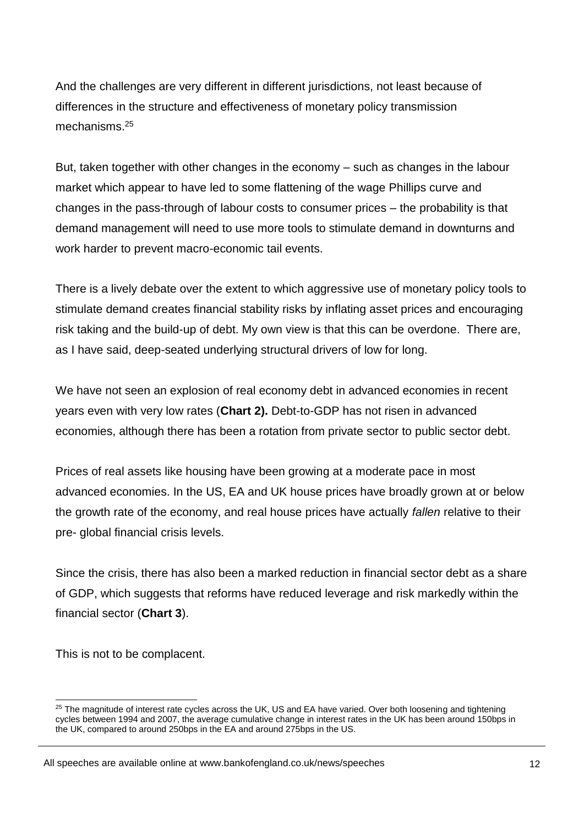And the challenges are very different in different jurisdictions, not least because of differences in the structure and effectiveness of monetary policy transmission mechanisms.<sup>25</sup>

But, taken together with other changes in the economy – such as changes in the labour market which appear to have led to some flattening of the wage Phillips curve and changes in the pass-through of labour costs to consumer prices – the probability is that demand management will need to use more tools to stimulate demand in downturns and work harder to prevent macro-economic tail events.

There is a lively debate over the extent to which aggressive use of monetary policy tools to stimulate demand creates financial stability risks by inflating asset prices and encouraging risk taking and the build-up of debt. My own view is that this can be overdone. There are, as I have said, deep-seated underlying structural drivers of low for long.

We have not seen an explosion of real economy debt in advanced economies in recent years even with very low rates (**Chart 2).** Debt-to-GDP has not risen in advanced economies, although there has been a rotation from private sector to public sector debt.

Prices of real assets like housing have been growing at a moderate pace in most advanced economies. In the US, EA and UK house prices have broadly grown at or below the growth rate of the economy, and real house prices have actually *fallen* relative to their pre- global financial crisis levels.

Since the crisis, there has also been a marked reduction in financial sector debt as a share of GDP, which suggests that reforms have reduced leverage and risk markedly within the financial sector (**Chart 3**).

This is not to be complacent.

1

<sup>&</sup>lt;sup>25</sup> The magnitude of interest rate cycles across the UK, US and EA have varied. Over both loosening and tightening cycles between 1994 and 2007, the average cumulative change in interest rates in the UK has been around 150bps in the UK, compared to around 250bps in the EA and around 275bps in the US.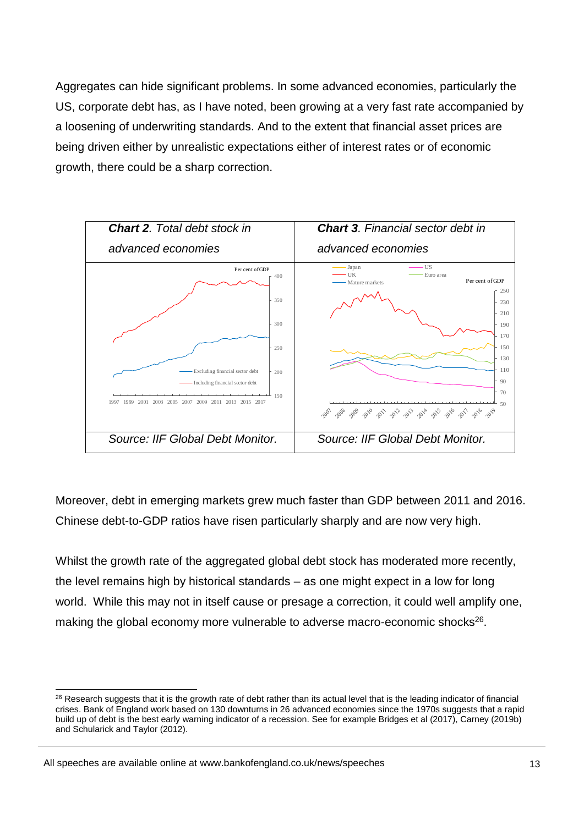Aggregates can hide significant problems. In some advanced economies, particularly the US, corporate debt has, as I have noted, been growing at a very fast rate accompanied by a loosening of underwriting standards. And to the extent that financial asset prices are being driven either by unrealistic expectations either of interest rates or of economic growth, there could be a sharp correction.



Moreover, debt in emerging markets grew much faster than GDP between 2011 and 2016. Chinese debt-to-GDP ratios have risen particularly sharply and are now very high.

Whilst the growth rate of the aggregated global debt stock has moderated more recently, the level remains high by historical standards – as one might expect in a low for long world. While this may not in itself cause or presage a correction, it could well amplify one, making the global economy more vulnerable to adverse macro-economic shocks<sup>26</sup>.

<sup>1</sup> <sup>26</sup> Research suggests that it is the growth rate of debt rather than its actual level that is the leading indicator of financial crises. Bank of England work based on 130 downturns in 26 advanced economies since the 1970s suggests that a rapid build up of debt is the best early warning indicator of a recession. See for example Bridges et al (2017), Carney (2019b) and Schularick and Taylor (2012).

All speeches are available online at www.bankofengland.co.uk/news/speeches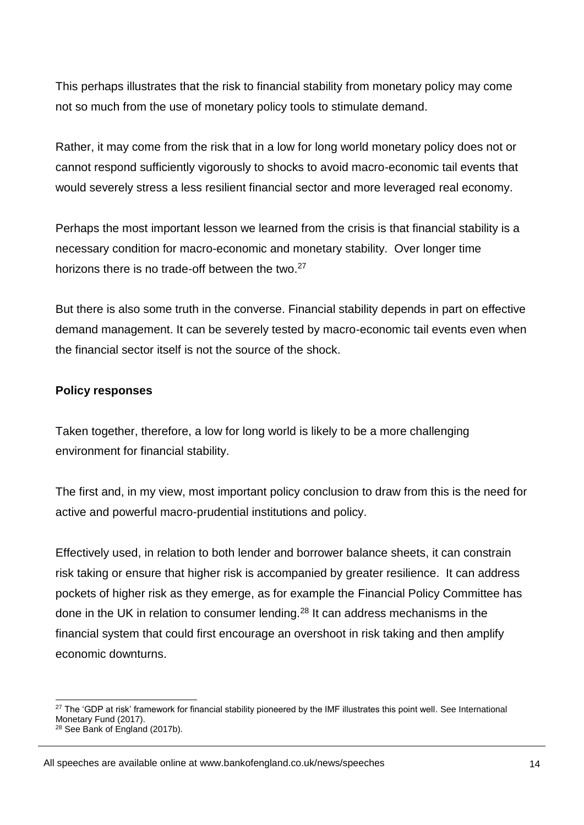This perhaps illustrates that the risk to financial stability from monetary policy may come not so much from the use of monetary policy tools to stimulate demand.

Rather, it may come from the risk that in a low for long world monetary policy does not or cannot respond sufficiently vigorously to shocks to avoid macro-economic tail events that would severely stress a less resilient financial sector and more leveraged real economy.

Perhaps the most important lesson we learned from the crisis is that financial stability is a necessary condition for macro-economic and monetary stability. Over longer time horizons there is no trade-off between the two.<sup>27</sup>

But there is also some truth in the converse. Financial stability depends in part on effective demand management. It can be severely tested by macro-economic tail events even when the financial sector itself is not the source of the shock.

## **Policy responses**

Taken together, therefore, a low for long world is likely to be a more challenging environment for financial stability.

The first and, in my view, most important policy conclusion to draw from this is the need for active and powerful macro-prudential institutions and policy.

Effectively used, in relation to both lender and borrower balance sheets, it can constrain risk taking or ensure that higher risk is accompanied by greater resilience. It can address pockets of higher risk as they emerge, as for example the Financial Policy Committee has done in the UK in relation to consumer lending.<sup>28</sup> It can address mechanisms in the financial system that could first encourage an overshoot in risk taking and then amplify economic downturns.

<sup>&</sup>lt;sup>27</sup> The 'GDP at risk' framework for financial stability pioneered by the IMF illustrates this point well. See International Monetary Fund (2017).

<sup>&</sup>lt;sup>28</sup> See Bank of England (2017b).

All speeches are available online at www.bankofengland.co.uk/news/speeches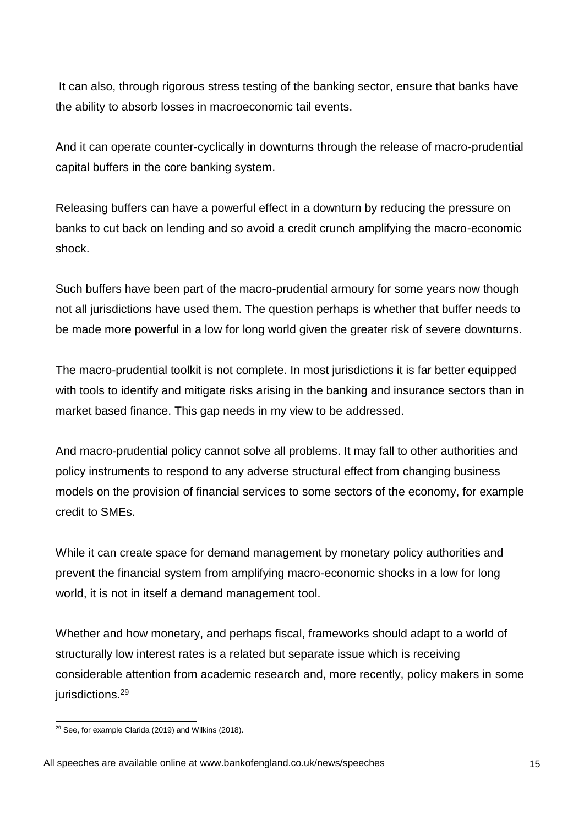It can also, through rigorous stress testing of the banking sector, ensure that banks have the ability to absorb losses in macroeconomic tail events.

And it can operate counter-cyclically in downturns through the release of macro-prudential capital buffers in the core banking system.

Releasing buffers can have a powerful effect in a downturn by reducing the pressure on banks to cut back on lending and so avoid a credit crunch amplifying the macro-economic shock.

Such buffers have been part of the macro-prudential armoury for some years now though not all jurisdictions have used them. The question perhaps is whether that buffer needs to be made more powerful in a low for long world given the greater risk of severe downturns.

The macro-prudential toolkit is not complete. In most jurisdictions it is far better equipped with tools to identify and mitigate risks arising in the banking and insurance sectors than in market based finance. This gap needs in my view to be addressed.

And macro-prudential policy cannot solve all problems. It may fall to other authorities and policy instruments to respond to any adverse structural effect from changing business models on the provision of financial services to some sectors of the economy, for example credit to SMEs.

While it can create space for demand management by monetary policy authorities and prevent the financial system from amplifying macro-economic shocks in a low for long world, it is not in itself a demand management tool.

Whether and how monetary, and perhaps fiscal, frameworks should adapt to a world of structurally low interest rates is a related but separate issue which is receiving considerable attention from academic research and, more recently, policy makers in some jurisdictions.<sup>29</sup>

<sup>1</sup> <sup>29</sup> See, for example Clarida (2019) and Wilkins (2018).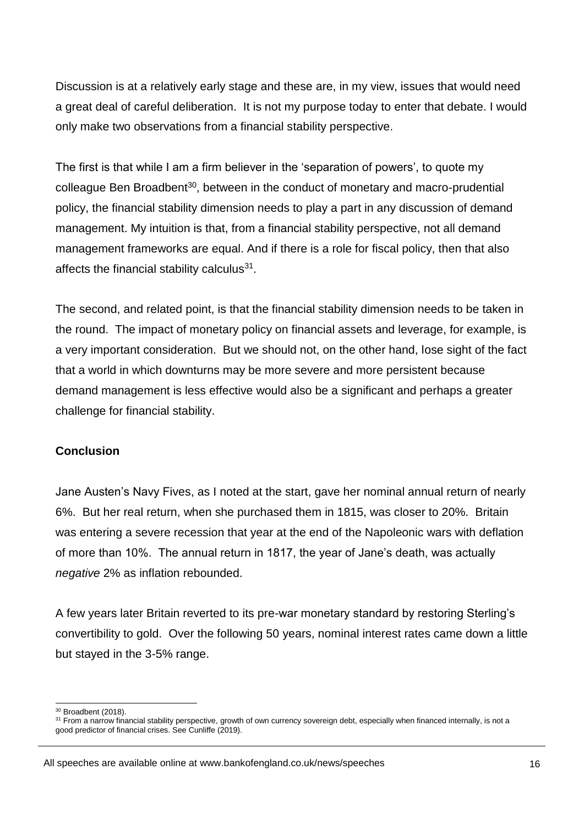Discussion is at a relatively early stage and these are, in my view, issues that would need a great deal of careful deliberation. It is not my purpose today to enter that debate. I would only make two observations from a financial stability perspective.

The first is that while I am a firm believer in the 'separation of powers', to quote my colleague Ben Broadbent<sup>30</sup>, between in the conduct of monetary and macro-prudential policy, the financial stability dimension needs to play a part in any discussion of demand management. My intuition is that, from a financial stability perspective, not all demand management frameworks are equal. And if there is a role for fiscal policy, then that also affects the financial stability calculus<sup>31</sup>.

The second, and related point, is that the financial stability dimension needs to be taken in the round. The impact of monetary policy on financial assets and leverage, for example, is a very important consideration. But we should not, on the other hand, lose sight of the fact that a world in which downturns may be more severe and more persistent because demand management is less effective would also be a significant and perhaps a greater challenge for financial stability.

#### **Conclusion**

Jane Austen's Navy Fives, as I noted at the start, gave her nominal annual return of nearly 6%. But her real return, when she purchased them in 1815, was closer to 20%. Britain was entering a severe recession that year at the end of the Napoleonic wars with deflation of more than 10%. The annual return in 1817, the year of Jane's death, was actually *negative* 2% as inflation rebounded.

A few years later Britain reverted to its pre-war monetary standard by restoring Sterling's convertibility to gold. Over the following 50 years, nominal interest rates came down a little but stayed in the 3-5% range.

All speeches are available online at www.bankofengland.co.uk/news/speeches

<sup>1</sup>  $30$  Broadbent (2018).

<sup>31</sup> From a narrow financial stability perspective, growth of own currency sovereign debt, especially when financed internally, is not a good predictor of financial crises. See Cunliffe (2019).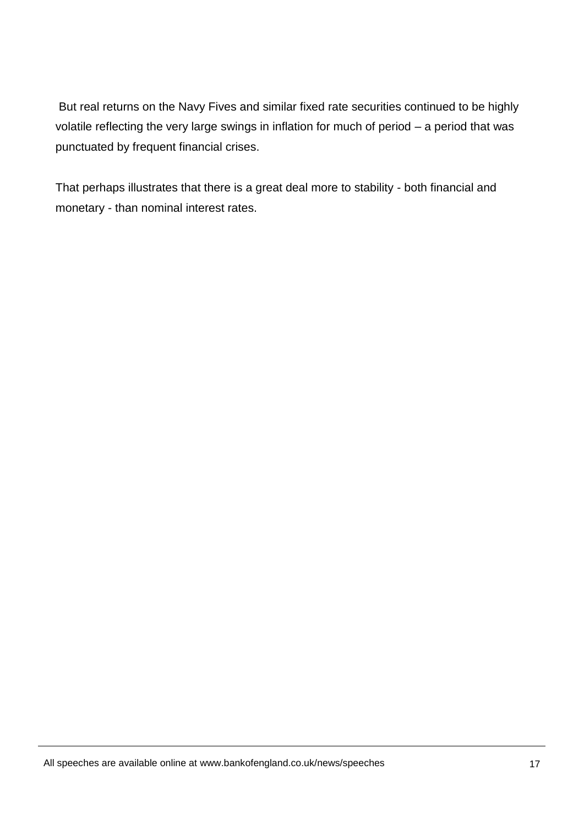But real returns on the Navy Fives and similar fixed rate securities continued to be highly volatile reflecting the very large swings in inflation for much of period – a period that was punctuated by frequent financial crises.

That perhaps illustrates that there is a great deal more to stability - both financial and monetary - than nominal interest rates.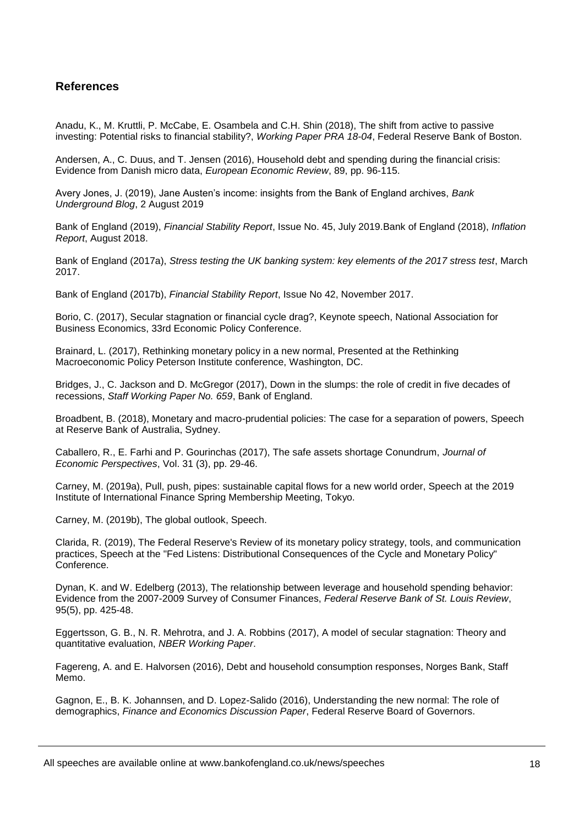#### **References**

Anadu, K., M. Kruttli, P. McCabe, E. Osambela and C.H. Shin (2018), The shift from active to passive investing: Potential risks to financial stability?, *Working Paper PRA 18-04*, Federal Reserve Bank of Boston.

Andersen, A., C. Duus, and T. Jensen (2016), Household debt and spending during the financial crisis: Evidence from Danish micro data, *European Economic Review*, 89, pp. 96-115.

Avery Jones, J. (2019), Jane Austen's income: insights from the Bank of England archives, *Bank Underground Blog*, 2 August 2019

Bank of England (2019), *Financial Stability Report*, Issue No. 45, July 2019.Bank of England (2018), *Inflation Report*, August 2018.

Bank of England (2017a), *Stress testing the UK banking system: key elements of the 2017 stress test*, March 2017.

Bank of England (2017b), *Financial Stability Report*, Issue No 42, November 2017.

Borio, C. (2017), Secular stagnation or financial cycle drag?, Keynote speech, National Association for Business Economics, 33rd Economic Policy Conference.

Brainard, L. (2017), Rethinking monetary policy in a new normal, Presented at the Rethinking Macroeconomic Policy Peterson Institute conference, Washington, DC.

Bridges, J., C. Jackson and D. McGregor (2017), Down in the slumps: the role of credit in five decades of recessions, *Staff Working Paper No. 659*, Bank of England.

Broadbent, B. (2018), Monetary and macro-prudential policies: The case for a separation of powers, Speech at Reserve Bank of Australia, Sydney.

Caballero, R., E. Farhi and P. Gourinchas (2017), The safe assets shortage Conundrum, *Journal of Economic Perspectives*, Vol. 31 (3), pp. 29-46.

Carney, M. (2019a), Pull, push, pipes: sustainable capital flows for a new world order, Speech at the 2019 Institute of International Finance Spring Membership Meeting, Tokyo.

Carney, M. (2019b), The global outlook, Speech.

Clarida, R. (2019), The Federal Reserve's Review of its monetary policy strategy, tools, and communication practices, Speech at the "Fed Listens: Distributional Consequences of the Cycle and Monetary Policy" Conference.

Dynan, K. and W. Edelberg (2013), The relationship between leverage and household spending behavior: Evidence from the 2007-2009 Survey of Consumer Finances, *Federal Reserve Bank of St. Louis Review*, 95(5), pp. 425-48.

Eggertsson, G. B., N. R. Mehrotra, and J. A. Robbins (2017), A model of secular stagnation: Theory and quantitative evaluation, *NBER Working Paper*.

Fagereng, A. and E. Halvorsen (2016), Debt and household consumption responses, Norges Bank, Staff Memo.

Gagnon, E., B. K. Johannsen, and D. Lopez-Salido (2016), Understanding the new normal: The role of demographics, *Finance and Economics Discussion Paper*, Federal Reserve Board of Governors.